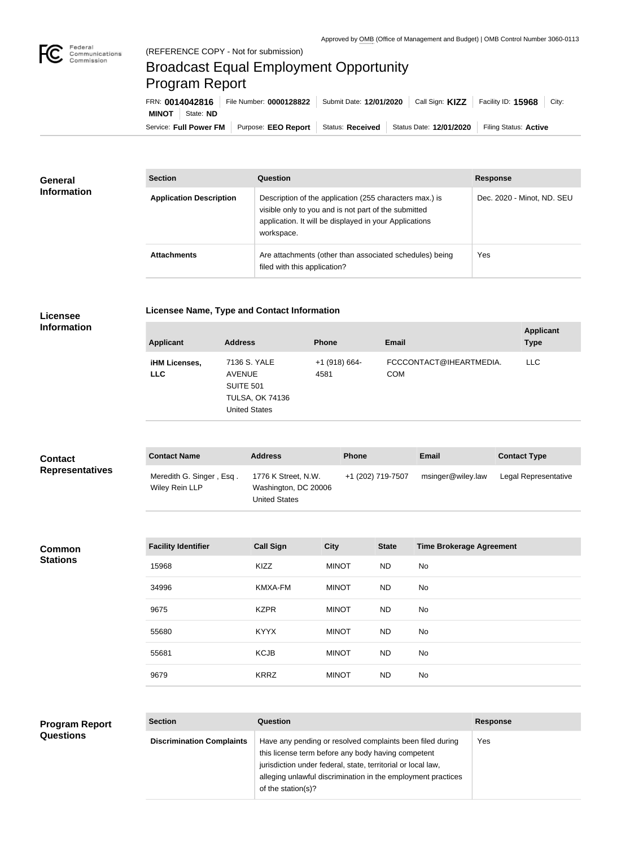

**The State** 

# Broadcast Equal Employment Opportunity Program Report

| FRN: 0014042816        |           | File Number: 0000128822    | Submit Date: 12/01/2020 | Call Sign: <b>KIZZ</b>  | Facility ID: 15968<br>City: |
|------------------------|-----------|----------------------------|-------------------------|-------------------------|-----------------------------|
| <b>MINOT</b>           | State: ND |                            |                         |                         |                             |
| Service: Full Power FM |           | Purpose: <b>EEO Report</b> | Status: Received        | Status Date: 12/01/2020 | Filing Status: Active       |

| General            | <b>Section</b>                 | Question                                                                                                                                                                                | <b>Response</b>            |
|--------------------|--------------------------------|-----------------------------------------------------------------------------------------------------------------------------------------------------------------------------------------|----------------------------|
| <b>Information</b> | <b>Application Description</b> | Description of the application (255 characters max.) is<br>visible only to you and is not part of the submitted<br>application. It will be displayed in your Applications<br>workspace. | Dec. 2020 - Minot, ND. SEU |
|                    | <b>Attachments</b>             | Are attachments (other than associated schedules) being<br>filed with this application?                                                                                                 | Yes                        |

## **Licensee**

## **Licensee Name, Type and Contact Information**

**Information**

| <b>Applicant</b>                   | <b>Address</b>                                                                                      | <b>Phone</b>          | <b>Email</b>                          | <b>Applicant</b><br><b>Type</b> |
|------------------------------------|-----------------------------------------------------------------------------------------------------|-----------------------|---------------------------------------|---------------------------------|
| <b>iHM Licenses,</b><br><b>LLC</b> | 7136 S. YALE<br><b>AVENUE</b><br><b>SUITE 501</b><br><b>TULSA, OK 74136</b><br><b>United States</b> | +1 (918) 664-<br>4581 | FCCCONTACT@IHEARTMEDIA.<br><b>COM</b> | LLC.                            |

| <b>Contact</b>         | <b>Contact Name</b>                        | <b>Address</b>                                               | <b>Phone</b>      | <b>Email</b>      | <b>Contact Type</b>  |
|------------------------|--------------------------------------------|--------------------------------------------------------------|-------------------|-------------------|----------------------|
| <b>Representatives</b> | Meredith G. Singer, Esq.<br>Wiley Rein LLP | 1776 K Street, N.W.<br>Washington, DC 20006<br>United States | +1 (202) 719-7507 | msinger@wiley.law | Legal Representative |

### **Common Stations**

| <b>Facility Identifier</b> | <b>Call Sign</b> | <b>City</b>  | <b>State</b> | <b>Time Brokerage Agreement</b> |
|----------------------------|------------------|--------------|--------------|---------------------------------|
| 15968                      | KIZZ             | <b>MINOT</b> | ND           | No.                             |
| 34996                      | <b>KMXA-FM</b>   | <b>MINOT</b> | <b>ND</b>    | No                              |
| 9675                       | <b>KZPR</b>      | <b>MINOT</b> | ND           | No.                             |
| 55680                      | <b>KYYX</b>      | <b>MINOT</b> | <b>ND</b>    | No                              |
| 55681                      | <b>KCJB</b>      | <b>MINOT</b> | ND           | No                              |
| 9679                       | <b>KRRZ</b>      | <b>MINOT</b> | <b>ND</b>    | No                              |

#### **Program Report Questions**

| <b>Section</b>                   | Question                                                                                                                                                                                                                                                              | <b>Response</b> |
|----------------------------------|-----------------------------------------------------------------------------------------------------------------------------------------------------------------------------------------------------------------------------------------------------------------------|-----------------|
| <b>Discrimination Complaints</b> | Have any pending or resolved complaints been filed during<br>this license term before any body having competent<br>jurisdiction under federal, state, territorial or local law,<br>alleging unlawful discrimination in the employment practices<br>of the station(s)? | <b>Yes</b>      |